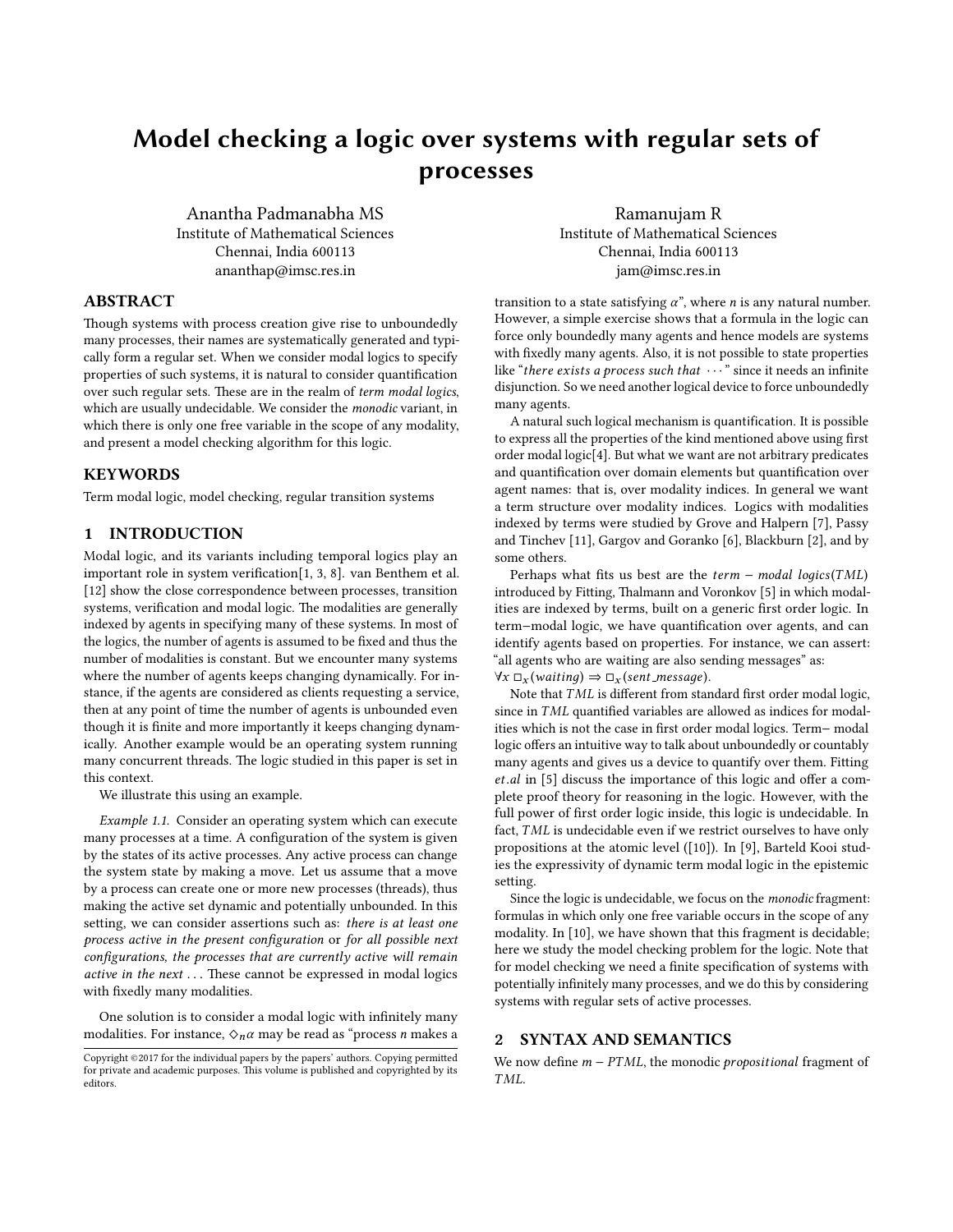# <span id="page-0-1"></span>Model checking a logic over systems with regular sets of processes

Anantha Padmanabha MS Institute of Mathematical Sciences Chennai, India 600113 ananthap@imsc.res.in

Ramanujam R Institute of Mathematical Sciences Chennai, India 600113 jam@imsc.res.in

# ABSTRACT

Though systems with process creation give rise to unboundedly many processes, their names are systematically generated and typically form a regular set. When we consider modal logics to specify properties of such systems, it is natural to consider quantification over such regular sets. These are in the realm of term modal logics, which are usually undecidable. We consider the monodic variant, in which there is only one free variable in the scope of any modality, and present a model checking algorithm for this logic.

## KEYWORDS

Term modal logic, model checking, regular transition systems

## 1 INTRODUCTION

Modal logic, and its variants including temporal logics play an important role in system verification $[1, 3, 8]$  $[1, 3, 8]$  $[1, 3, 8]$  $[1, 3, 8]$  $[1, 3, 8]$ . van Benthem et al. [\[12\]](#page-4-1) show the close correspondence between processes, transition systems, verification and modal logic. The modalities are generally indexed by agents in specifying many of these systems. In most of the logics, the number of agents is assumed to be fixed and thus the number of modalities is constant. But we encounter many systems where the number of agents keeps changing dynamically. For instance, if the agents are considered as clients requesting a service, then at any point of time the number of agents is unbounded even though it is finite and more importantly it keeps changing dynamically. Another example would be an operating system running many concurrent threads. The logic studied in this paper is set in this context.

We illustrate this using an example.

<span id="page-0-0"></span>Example 1.1. Consider an operating system which can execute many processes at a time. A configuration of the system is given by the states of its active processes. Any active process can change the system state by making a move. Let us assume that a move by a process can create one or more new processes (threads), thus making the active set dynamic and potentially unbounded. In this setting, we can consider assertions such as: there is at least one process active in the present configuration or for all possible next configurations, the processes that are currently active will remain active in the next  $\dots$  These cannot be expressed in modal logics with fixedly many modalities.

One solution is to consider a modal logic with infinitely many modalities. For instance,  $\Diamond_n \alpha$  may be read as "process n makes a transition to a state satisfying  $\alpha$ ", where *n* is any natural number. However, a simple exercise shows that a formula in the logic can force only boundedly many agents and hence models are systems with fixedly many agents. Also, it is not possible to state properties like "there exists a process such that  $\cdots$ " since it needs an infinite disjunction. So we need another logical device to force unboundedly many agents.

A natural such logical mechanism is quantification. It is possible to express all the properties of the kind mentioned above using first order modal logic[\[4\]](#page-3-2). But what we want are not arbitrary predicates and quantification over domain elements but quantification over agent names: that is, over modality indices. In general we want a term structure over modality indices. Logics with modalities indexed by terms were studied by Grove and Halpern [\[7\]](#page-4-2), Passy and Tinchev [\[11\]](#page-4-3), Gargov and Goranko [\[6\]](#page-4-4), Blackburn [\[2\]](#page-3-3), and by some others.

Perhaps what fits us best are the  $term - modal logics(TML)$ introduced by Fitting, Thalmann and Voronkov [\[5\]](#page-3-4) in which modalities are indexed by terms, built on a generic first order logic. In term-modal logic, we have quantification over agents, and can identify agents based on properties. For instance, we can assert: "all agents who are waiting are also sending messages" as:  $\forall x \Box_x (waiting) \Rightarrow \Box_x (sent\_message).$ 

Note that  $TML$  is different from standard first order modal logic, since in  $TML$  quantified variables are allowed as indices for modalities which is not the case in first order modal logics. Term- modal logic offers an intuitive way to talk about unboundedly or countably many agents and gives us a device to quantify over them. Fitting et.al in [\[5\]](#page-3-4) discuss the importance of this logic and offer a complete proof theory for reasoning in the logic. However, with the full power of first order logic inside, this logic is undecidable. In fact, TML is undecidable even if we restrict ourselves to have only propositions at the atomic level ([\[10\]](#page-4-5)). In [\[9\]](#page-4-6), Barteld Kooi studies the expressivity of dynamic term modal logic in the epistemic setting.

Since the logic is undecidable, we focus on the monodic fragment: formulas in which only one free variable occurs in the scope of any modality. In [\[10\]](#page-4-5), we have shown that this fragment is decidable; here we study the model checking problem for the logic. Note that for model checking we need a finite specification of systems with potentially infinitely many processes, and we do this by considering systems with regular sets of active processes.

# 2 SYNTAX AND SEMANTICS

We now define  $m - PTML$ , the monodic *propositional* fragment of TML.

Copyright ©2017 for the individual papers by the papers' authors. Copying permitted for private and academic purposes. This volume is published and copyrighted by its editors.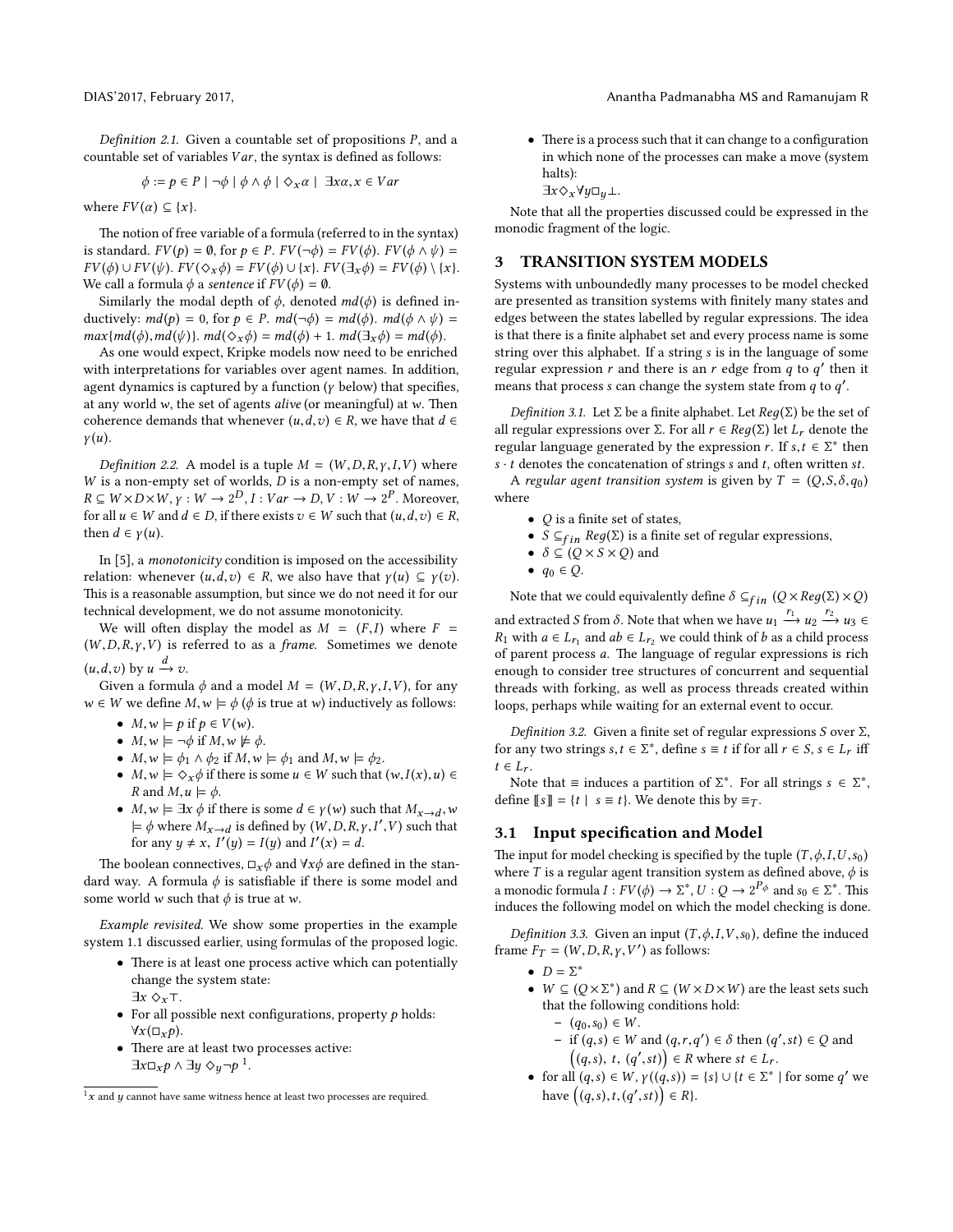Definition 2.1. Given a countable set of propositions  $P$ , and a countable set of variables  $Var$ , the syntax is defined as follows:

$$
\phi := p \in P \mid \neg \phi \mid \phi \land \phi \mid \Diamond_x \alpha \mid \exists x \alpha, x \in Var
$$

where  $FV(\alpha) \subseteq \{x\}.$ 

The notion of free variable of a formula (referred to in the syntax) is standard.  $FV(p) = \emptyset$ , for  $p \in P$ .  $FV(\neg \phi) = FV(\phi)$ .  $FV(\phi \land \psi) =$  $FV(\phi) \cup FV(\psi)$ .  $FV(\Diamond_x \phi) = FV(\phi) \cup \{x\}$ .  $FV(\exists_x \phi) = FV(\phi) \setminus \{x\}$ . We call a formula  $\phi$  a sentence if  $FV(\phi) = \emptyset$ .

Similarly the modal depth of  $\phi$ , denoted  $md(\phi)$  is defined inductively:  $md(p) = 0$ , for  $p \in P$ .  $md(\neg \phi) = md(\phi)$ .  $md(\phi \land \psi) =$  $max\{md(\phi),md(\psi)\}\text{. }md(\Diamond_x\phi) = md(\phi) + 1. \text{ } md(\exists_x\phi) = md(\phi).$ 

As one would expect, Kripke models now need to be enriched with interpretations for variables over agent names. In addition, agent dynamics is captured by a function ( $\gamma$  below) that specifies, at any world w, the set of agents alive (or meaningful) at w. Then coherence demands that whenever  $(u, d, v) \in R$ , we have that  $d \in$  $\gamma(u)$ .

Definition 2.2. A model is a tuple  $M = (W, D, R, \gamma, I, V)$  where  $W$  is a non-empty set of worlds,  $D$  is a non-empty set of names,  $R \subseteq W \times D \times W$ ,  $\gamma : W \to 2^D$ ,  $I : Var \to D$ ,  $V : W \to 2^P$ . Moreover, for all  $u \in W$  and  $d \in D$ , if there exists  $v \in W$  such that  $(u, d, v) \in R$ , then  $d \in \gamma(u)$ .

In [\[5\]](#page-3-4), a monotonicity condition is imposed on the accessibility relation: whenever  $(u, d, v) \in R$ , we also have that  $\gamma(u) \subseteq \gamma(v)$ . This is a reasonable assumption, but since we do not need it for our technical development, we do not assume monotonicity.

We will often display the model as  $M = (F, I)$  where  $F =$  $(W, D, R, \gamma, V)$  is referred to as a *frame*. Sometimes we denote  $(u,d,v)$  by  $u \xrightarrow{a} v$ .<br>Given a formul

Given a formula  $\phi$  and a model  $M = (W, D, R, \gamma, I, V)$ , for any  $w \in W$  we define  $M, w \models \phi$  ( $\phi$  is true at w) inductively as follows:

- $M, w \models p \text{ if } p \in V(w).$
- $M, w \models \neg \phi$  if  $M, w \not\models \phi$ .
- $M, w \models \phi_1 \land \phi_2$  if  $M, w \models \phi_1$  and  $M, w \models \phi_2$ .
- $M, w \models \Diamond_x \phi$  if there is some  $u \in W$  such that  $(w, I(x), u) \in$ R and  $M, u \models \phi$ .
- $M, w \models \exists x \phi$  if there is some  $d \in \gamma(w)$  such that  $M_{x\to d}$ ,  $w \models \phi$  where  $M_{x\to d}$  is defined by  $(W, D, R, \gamma, I' \lor)$  such that  $\models \phi$  where  $M_{x\to d}$  is defined by  $(W, D, R, \gamma, I', V)$  such that<br>for any  $u \neq x \ I'(u) - I(u)$  and  $I'(x) - d$ for any  $y \neq x$ ,  $I'(y) = I(y)$  and  $I'(x) = d$ .

The boolean connectives,  $\Box_x \phi$  and  $\forall x \phi$  are defined in the standard way. A formula  $\phi$  is satisfiable if there is some model and some world *w* such that  $\phi$  is true at *w*.

Example revisited. We show some properties in the example system [1.1](#page-0-0) discussed earlier, using formulas of the proposed logic.

- There is at least one process active which can potentially change the system state:
	- $\exists x \diamond_x \top.$
- For all possible next configurations, property  $p$  holds:  $\forall x(\Box_x p).$
- There are at least two processes active:  $\exists x \Box_x p \land \exists y \diamond_y \neg p^1.$  $\exists x \Box_x p \land \exists y \diamond_y \neg p^1.$  $\exists x \Box_x p \land \exists y \diamond_y \neg p^1.$

DIAS'2017, February 2017, Anantha Padmanabha MS and Ramanujam R

 $\bullet$  There is a process such that it can change to a configuration in which none of the processes can make a move (system halts):

 $\exists x \Diamond_x \forall y \Box_y \bot.$ 

Note that all the properties discussed could be expressed in the monodic fragment of the logic.

## 3 TRANSITION SYSTEM MODELS

Systems with unboundedly many processes to be model checked are presented as transition systems with finitely many states and edges between the states labelled by regular expressions. The idea is that there is a finite alphabet set and every process name is some string over this alphabet. If a string s is in the language of some regular expression r and there is an r edge from  $q$  to  $q'$  then it means that process s can change the system state from  $q$  to  $q'$ .

Definition 3.1. Let  $\Sigma$  be a finite alphabet. Let  $Reg(\Sigma)$  be the set of all regular expressions over Σ. For all  $r ∈ Reg(Σ)$  let  $L_r$  denote the regular language generated by the expression r. If  $s, t \in \Sigma^*$  then  $s, t$  denotes the concatenation of strings s and t, often written st  $s \cdot t$  denotes the concatenation of strings s and t, often written st.

A regular agent transition system is given by  $T = (Q, S, \delta, q_0)$ where

- $Q$  is a finite set of states,
- $S \subseteq_{fin} Reg(\Sigma)$  is a finite set of regular expressions,
- $\delta \subseteq (Q \times S \times Q)$  and
- $\bullet$   $q_0 \in Q$ .

Note that we could equivalently define  $\delta \subseteq_{fin} (Q \times Reg(\Sigma) \times Q)$ and extracted S from  $\delta$ . Note that when we have  $u_1 \stackrel{r_1}{\longrightarrow} u_2 \stackrel{r_2}{\longrightarrow} u_3 \in$  $R_1$  with  $a \in L_{r_1}$  and  $ab \in L_{r_2}$  we could think of b as a child process of parant process a. The language of posular expressions is right of parent process  $a$ . The language of regular expressions is rich enough to consider tree structures of concurrent and sequential threads with forking, as well as process threads created within loops, perhaps while waiting for an external event to occur.

Definition 3.2. Given a finite set of regular expressions S over  $\Sigma$ , for any two strings  $s, t \in \Sigma^*$ , define  $s \equiv t$  if for all  $r \in S$ ,  $s \in L_r$  iff  $t \in I$  $t \in L_r$ .

Note that  $\equiv$  induces a partition of  $\Sigma^*$ . For all strings  $s \in \Sigma^*$ ,<br>fine  $\llbracket s \rrbracket = t \mid s = t$ . We denote this by  $\equiv \infty$ define  $[s] = \{t \mid s \equiv t\}$ . We denote this by  $\equiv_T$ .

## 3.1 Input specification and Model

The input for model checking is specified by the tuple  $(T, \phi, I, U, s_0)$ where T is a regular agent transition system as defined above,  $\phi$  is a monodic formula  $I: FV(\phi) \to \Sigma^*, U: Q \to 2^{P_{\phi}}$  and  $s_0 \in \Sigma^*$ . This induces the following model on which the model checking is done.

Definition 3.3. Given an input  $(T, \phi, I, V, s_0)$ , define the induced frame  $F_T = (W, D, R, \gamma, V')$  as follows:

- $D = \Sigma^*$ <br>•  $W \subset U$
- $W \subseteq (Q \times \Sigma^*)$  and  $R \subseteq (W \times D \times W)$  are the least sets such that the following conditions hold. that the following conditions hold:
	- $(q_0, s_0) \in W$ .
	- if  $(q, s) \in W$  and  $(q, r, q') \in \delta$  then  $(q', st) \in Q$  and  $((q, s) + (q', st)) \in R$  where at  $\in I$  $((q, s), t, (q', st)) \in R$  where  $st \in L_r$ .
- for all  $(q, s) \in W$ ,  $\gamma((q, s)) = \{s\} \cup \{t \in \Sigma^* \mid \text{for some } q' \text{ we}$ have  $((q,s),t,(q',st)) \in R$  }.

<span id="page-1-0"></span> $1x$  and y cannot have same witness hence at least two processes are required.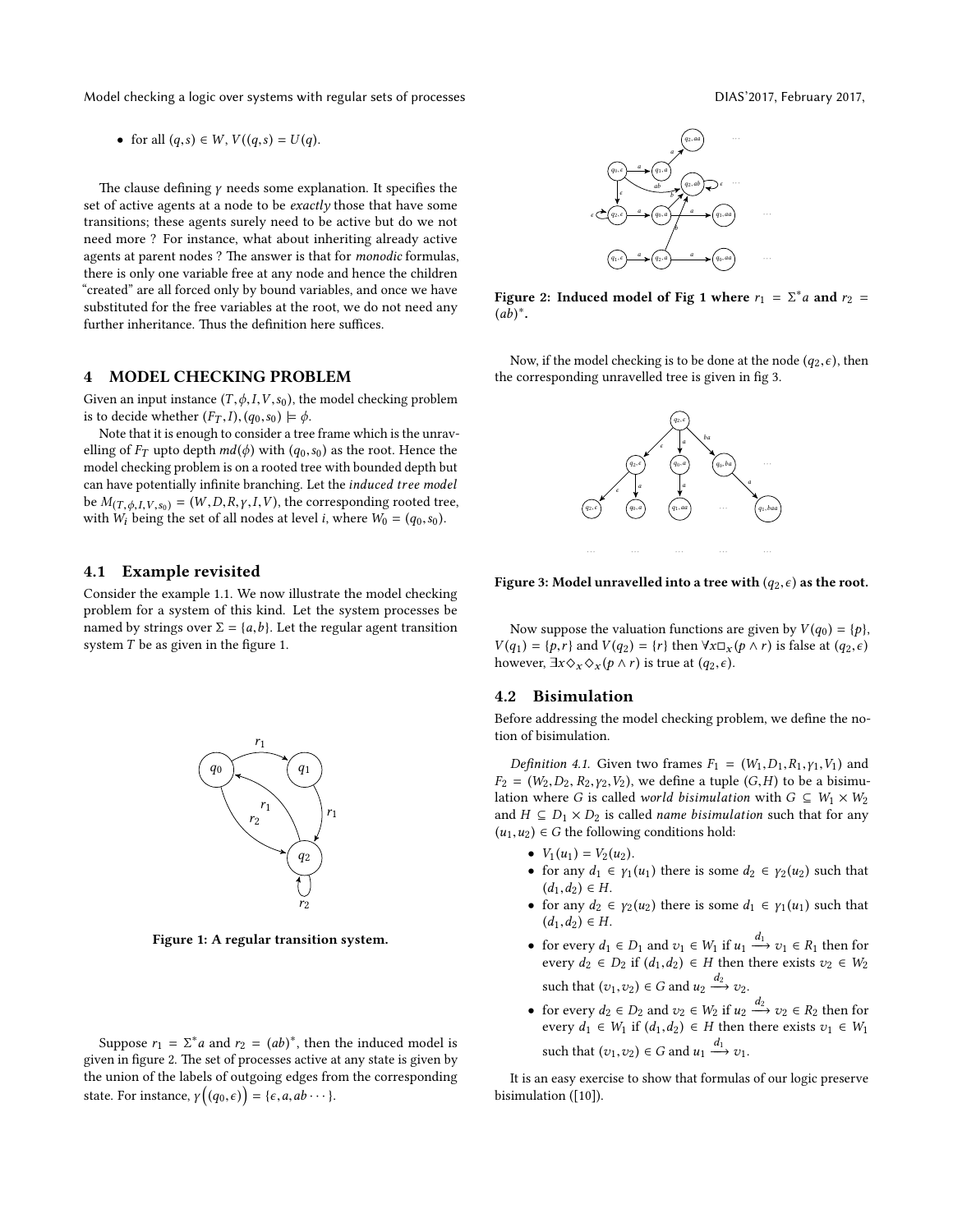Model checking a logic over systems with regular sets of processes DIAS'2017, February 2017,

• for all  $(q,s) \in W$ ,  $V((q,s) = U(q)$ .

The clause defining  $\gamma$  needs some explanation. It specifies the set of active agents at a node to be *exactly* those that have some transitions; these agents surely need to be active but do we not need more ? For instance, what about inheriting already active agents at parent nodes ? The answer is that for *monodic* formulas, there is only one variable free at any node and hence the children "created" are all forced only by bound variables, and once we have substituted for the free variables at the root, we do not need any further inheritance. Thus the definition here suffices.

# 4 MODEL CHECKING PROBLEM

Given an input instance  $(T, \phi, I, V, s_0)$ , the model checking problem is to decide whether  $(F_T, I), (q_0, s_0) \models \phi$ .

Note that it is enough to consider a tree frame which is the unravelling of  $F_T$  upto depth  $md(\phi)$  with  $(q_0, s_0)$  as the root. Hence the model checking problem is on a rooted tree with bounded depth but can have potentially infinite branching. Let the induced tree model be  $M_{(T,\phi,I,V,s_0)} = (W,D,R,\gamma,I,V)$ , the corresponding rooted tree, with  $W_i$  being the set of all nodes at level *i*, where  $W_0 = (q_0, s_0)$ .

## 4.1 Example revisited

Consider the example [1.1.](#page-0-0) We now illustrate the model checking problem for a system of this kind. Let the system processes be named by strings over  $\Sigma = \{a, b\}$ . Let the regular agent transition system  $T$  be as given in the figure [1.](#page-2-0)



Figure 1: A regular transition system.

Suppose  $r_1 = \sum^* a$  and  $r_2 = (ab)^*$ , then the induced model is  $r_2$  in figure 2. The set of processes active at any state is given by given in figure [2.](#page-2-1) The set of processes active at any state is given by the union of the labels of outgoing edges from the corresponding state. For instance,  $\gamma((q_0, \epsilon)) = {\epsilon, a, ab \cdots}.$ 

<span id="page-2-0"></span>

Figure 2: Induced model of Fig [1](#page-2-0) where  $r_1 = \sum^* a$  and  $r_2 = (ab)^*$  $(a\overline{b})^*$ .

<span id="page-2-1"></span>Now, if the model checking is to be done at the node  $(q_2, \epsilon)$ , then the corresponding unravelled tree is given in fig [3.](#page-0-1)



Figure 3: Model unravelled into a tree with  $(q_2, \epsilon)$  as the root.

Now suppose the valuation functions are given by  $V(q_0) = \{p\}$ ,  $V(q_1) = \{p, r\}$  and  $V(q_2) = \{r\}$  then  $\forall x \Box_x (p \land r)$  is false at  $(q_2, \epsilon)$ however,  $\exists x \Diamond_x \Diamond_x (p \land r)$  is true at  $(q_2, \epsilon)$ .

#### 4.2 Bisimulation

Before addressing the model checking problem, we define the notion of bisimulation.

Definition 4.1. Given two frames  $F_1 = (W_1, D_1, R_1, Y_1, V_1)$  and  $F_2 = (W_2, D_2, R_2, V_2, V_2)$ , we define a tuple  $(G, H)$  to be a bisimulation where G is called world bisimulation with  $G \subseteq W_1 \times W_2$ and  $H \subseteq D_1 \times D_2$  is called *name bisimulation* such that for any  $(u_1, u_2) \in G$  the following conditions hold:

- $V_1(u_1) = V_2(u_2)$ .
- for any  $d_1 \in \gamma_1(u_1)$  there is some  $d_2 \in \gamma_2(u_2)$  such that  $(d_1, d_2) \in H$ .
- for any  $d_2 \in \gamma_2(u_2)$  there is some  $d_1 \in \gamma_1(u_1)$  such that  $(d_1, d_2) \in H$ .
- for every  $d_1 \in D_1$  and  $v_1 \in W_1$  if  $u_1 \xrightarrow{d_1} v_1 \in R_1$  then for every  $d_2 \in D_2$  if  $(d_1, d_2) \in H$  then there exists  $v_2 \in W_2$ such that  $(v_1, v_2) \in G$  and  $u_2 \xrightarrow{d_2} v_2$ .
- for every  $d_2 \in D_2$  and  $v_2 \in W_2$  if  $u_2 \xrightarrow{d_2} v_2 \in R_2$  then for every  $d_1 \in W_1$  if  $(d_1, d_2) \in H$  then there exists  $v_1 \in W_1$ such that  $(v_1, v_2) \in G$  and  $u_1 \xrightarrow{d_1} v_1$ .

It is an easy exercise to show that formulas of our logic preserve bisimulation ([\[10\]](#page-4-5)).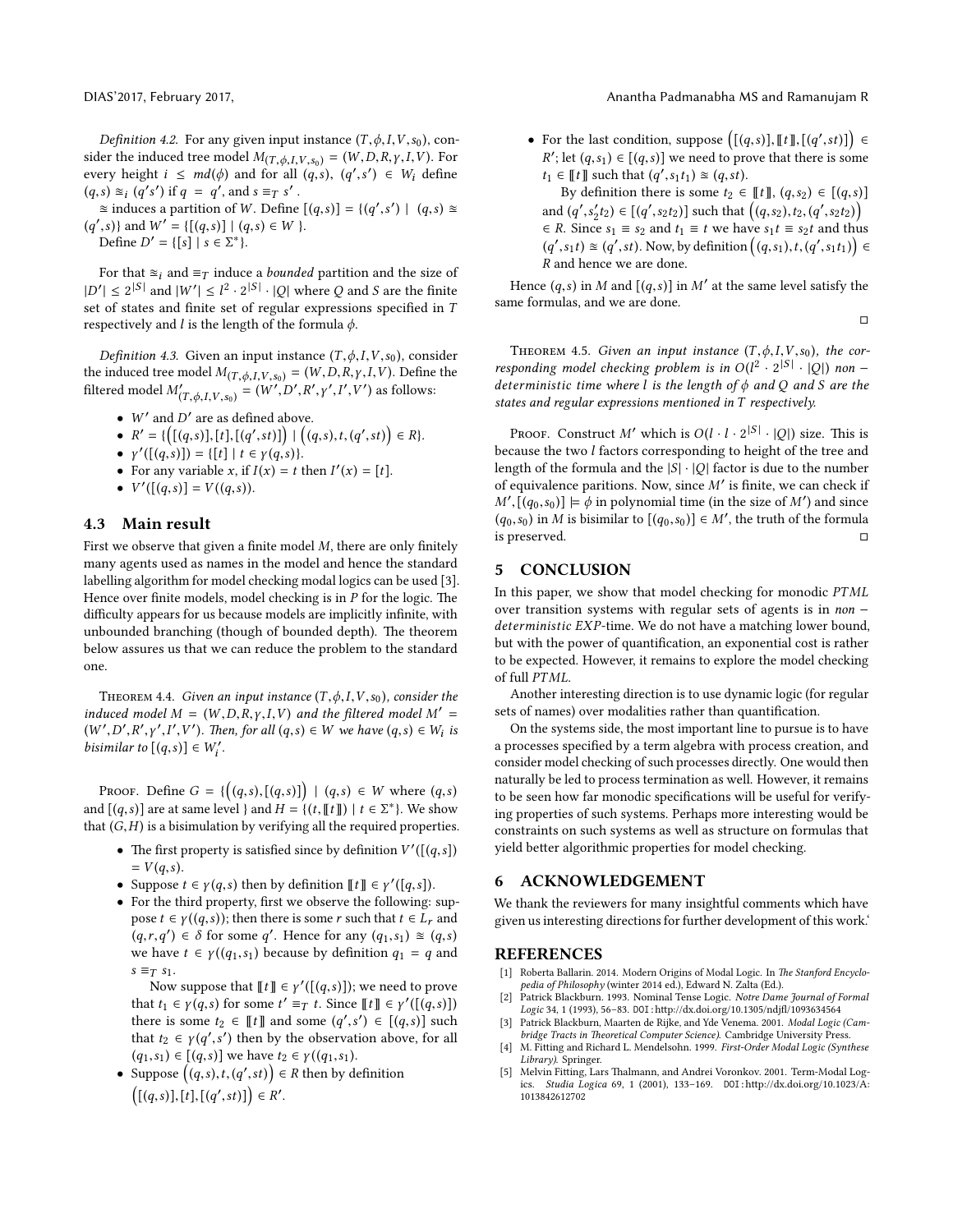Definition 4.2. For any given input instance  $(T, \phi, I, V, s_0)$ , consider the induced tree model  $M_{(T,\phi,I,V,s_0)} = (W,D,R,\gamma,I,V)$ . For every height  $i \leq md(\phi)$  and for all  $(q, s)$ ,  $(q', s') \in W_i$  define  $(a, s) \approx (a's')$  if  $a = a'$  and  $s = \pi s'$ .  $(q, s) \approx_i (q's')$  if  $q = q'$ , and  $s \equiv_T s'$ .<br> $\approx$  induces a partition of W. Define

 $\approx$  induces a partition of W. Define  $[(q,s)] = {(q',s') | (q,s) \approx$  $(q', s)$  and  $W' = \{ [(q, s)] | (q, s) \in W \}.$ <br>Define  $D' = \{ [s] | s \in \Sigma^* \}$ Define  $D' = \{ [s] | s \in \Sigma^* \}.$ 

For that  $\approx i$  and  $\equiv_T$  induce a *bounded* partition and the size of  $|D'| \leq 2^{|S|}$  and  $|W'| \leq l^2 \cdot 2^{|S|} \cdot |Q|$  where Q and S are the finite set of states and finite set of regular expressions specified in  $T$ respectively and  $l$  is the length of the formula  $\phi$ .

Definition 4.3. Given an input instance  $(T, \phi, I, V, s_0)$ , consider the induced tree model  $M_{(T,\phi,I,V,s_0)} = (W,D,R,\gamma,I,V)$ . Define the filtered model  $M'_{0}$  $T_{(T,\phi,I,V,s_0)} = (W',D',R',\gamma',I',V')$  as follows:

- W' and  $D'$  are as defined above.
- $R' = \{ [(q,s)], [t], [(q',st)] \} | ((q,s),t, (q',st)) \in R \}.$ |
- $\gamma'([q,s)]) = \{ [t] \mid t \in \gamma(q,s) \}.$ <br>• For any variable  $x$  if  $I(x) = t$
- For any variable x, if  $I(x) = t$  then  $I'(x) = [t]$ .
- $V'([q,s)] = V((q,s)).$

#### 4.3 Main result

First we observe that given a finite model  $M$ , there are only finitely many agents used as names in the model and hence the standard labelling algorithm for model checking modal logics can be used [\[3\]](#page-3-1). Hence over finite models, model checking is in  $P$  for the logic. The difficulty appears for us because models are implicitly infinite, with unbounded branching (though of bounded depth). The theorem below assures us that we can reduce the problem to the standard one.

THEOREM 4.4. Given an input instance  $(T, \phi, I, V, s_0)$ , consider the induced model  $M = (W, D, R, \gamma, I, V)$  and the filtered model  $M' =$  $(W', D', R', \gamma', I', V')$ . Then, for all  $(q, s) \in W$  we have  $(q, s) \in W_i$  is<br>historian to  $[(q, s)] \in W'$ bisimilar to  $[(q,s)] \in W'_i$ .

PROOF. Define  $G = \{ ((q,s),[(q,s)] ) \mid (q,s) \in W \text{ where } (q,s) \}$ and  $[(q, s)]$  are at same level  $\}$  and  $H = \{(t, [t] \mid t \in \Sigma^* \}$ . We show that  $(G, H)$  is a bisimulation by verifying all the required properties.

- The first property is satisfied since by definition  $V'([q,s])$ <br>=  $V(a,s)$  $= V(q,s)$ .
- Suppose  $t \in \gamma(q,s)$  then by definition  $[[t]] \in \gamma'([q,s])$ .<br>• For the third property first we observe the following:
- For the third property, first we observe the following: suppose  $t \in \gamma((q,s))$ ; then there is some r such that  $t \in L_r$  and  $(q, r, q') \in \delta$  for some q'. Hence for any  $(q_1, s_1) \approx (q, s)$ <br>we have  $t \in \mathcal{U}(q, s_1)$  because by definition  $q_1 = q$  and we have  $t \in \gamma((q_1,s_1))$  because by definition  $q_1 = q$  and  $s \equiv_T s_1$ .

Now suppose that  $[[t]] \in \gamma'([(q,s)]);$  we need to prove<br>  $t, t \in \gamma(a, s)$  for some  $t' = \pi t$ . Since  $[[t]] \in \gamma'([\{a, s\}])$ that  $t_1 \in \gamma(q, s)$  for some  $t' \equiv_T t$ . Since  $[[t]] \in \gamma'([\overline{(q, s)}])$ <br>there is some  $t_0 \in [[t]]$  and some  $(g', s') \in [g, s]$  such there is some  $t_2 \in \llbracket t \rrbracket$  and some  $(q', s') \in \llbracket (q, s) \rrbracket$  such that  $t_2 \in \mathcal{L}(q', s')$  then by the observation above for all that  $t_2 \in \gamma(q', s')$  then by the observation above, for all  $(a, s_1) \in [(a, s)]$  we have  $t_2 \in \gamma((a, s_1))$  $(q_1, s_1) \in [(q, s)]$  we have  $t_2 \in \gamma((q_1, s_1))$ .

• Suppose  $((q, s), t, (q', st)) \in R$  then by definition  $((q,s)],[t],[(q',st)] \in R'.$ 

#### DIAS'2017, February 2017, Anantha Padmanabha MS and Ramanujam R

- For the last condition, suppose  $([q,s], [t], [(q',st)] \in$ <br>  $\mathbb{R}^t$ , lat  $(s, s) \in [(s, s)]$  we need to group that there is agrees R'; let  $(q, s_1) \in [(q, s)]$  we need to prove that there is some  $t_i \in \mathbb{F}$  and the to  $(\alpha', s, t_1) \approx (q, s_1)$  $t_1 \in \llbracket t \rrbracket$  such that  $(q', s_1 t_1) \approx (q, st)$ .<br>By definition there is some  $t_2 \in$ 
	- By definition there is some  $t_2 \in \llbracket t \rrbracket$ ,  $(q,s_2) \in [(q,s)]$ and  $(q', s'_2 t_2) \in [(q', s_2 t_2)]$  such that  $((q, s_2), t_2, (q', s_2 t_2))$  $\in$  R. Since  $s_1 \equiv s_2$  and  $t_1 \equiv t$  we have  $s_1 t \equiv s_2 t$  and thus  $(q', s_1t) \cong (q', st)$ . Now, by definition  $((q, s_1), t, (q', s_1t_1)) \in$ <br>*P* and bance we are dance R and hence we are done.

Hence  $(q, s)$  in M and  $[(q, s)]$  in M' at the same level satisfy the same formulas, and we are done.

 $\Box$ 

THEOREM 4.5. Given an input instance  $(T, \phi, I, V, s_0)$ , the corresponding model checking problem is in  $O(l^2 \cdot 2^{|S|} \cdot |Q|)$  non –<br>deterministic time where l is the length of a and O and S are the deterministic time where  $l$  is the length of  $\phi$  and  $Q$  and  $S$  are the states and regular expressions mentioned in T respectively.

PROOF. Construct M' which is  $O(l \cdot l \cdot 2^{|S|} \cdot |Q|)$  size. This is cause the two *l* factors corresponding to height of the tree and because the two l factors corresponding to height of the tree and length of the formula and the  $|S| \cdot |O|$  factor is due to the number of equivalence paritions. Now, since  $M'$  is finite, we can check if  $M', [(q_0, s_0)] \models \phi$  in polynomial time (in the size of M') and since  $(q_0, s_0)$  in M is bisimilar to  $[(q_0, s_0)] \in M'$ , the truth of the formula  $(q_0, s_0)$  in M is bisimilar to  $[(q_0, s_0)] \in M'$ , the truth of the formula<br>is preserved is preserved.

#### 5 CONCLUSION

In this paper, we show that model checking for monodic PTML over transition systems with regular sets of agents is in non − deterministic EXP-time. We do not have a matching lower bound, but with the power of quantification, an exponential cost is rather to be expected. However, it remains to explore the model checking of full PTML.

Another interesting direction is to use dynamic logic (for regular sets of names) over modalities rather than quantification.

On the systems side, the most important line to pursue is to have a processes specified by a term algebra with process creation, and consider model checking of such processes directly. One would then naturally be led to process termination as well. However, it remains to be seen how far monodic specifications will be useful for verifying properties of such systems. Perhaps more interesting would be constraints on such systems as well as structure on formulas that yield better algorithmic properties for model checking.

#### 6 ACKNOWLEDGEMENT

We thank the reviewers for many insightful comments which have given us interesting directions for further development of this work.'

#### REFERENCES

- <span id="page-3-0"></span>[1] Roberta Ballarin. 2014. Modern Origins of Modal Logic. In The Stanford Encyclopedia of Philosophy (winter 2014 ed.), Edward N. Zalta (Ed.).
- <span id="page-3-3"></span>Patrick Blackburn. 1993. Nominal Tense Logic. Notre Dame Journal of Formal Logic 34, 1 (1993), 56-83. DOI:http://dx.doi.org/10.1305/ndjfl/1093634564 [3] Patrick Blackburn, Maarten de Rijke, and Yde Venema. 2001. Modal Logic (Cam-
- <span id="page-3-1"></span>bridge Tracts in Theoretical Computer Science). Cambridge University Press. [4] M. Fitting and Richard L. Mendelsohn. 1999. First-Order Modal Logic (Synthese
- <span id="page-3-2"></span>Library). Springer. [5] Melvin Fitting, Lars Thalmann, and Andrei Voronkov. 2001. Term-Modal Log-
- <span id="page-3-4"></span>ics. Studia Logica 69, 1 (2001), 133-169. DOI:http://dx.doi.org/10.1023/A: [1013842612702](http://dx.doi.org/10.1023/A:1013842612702)